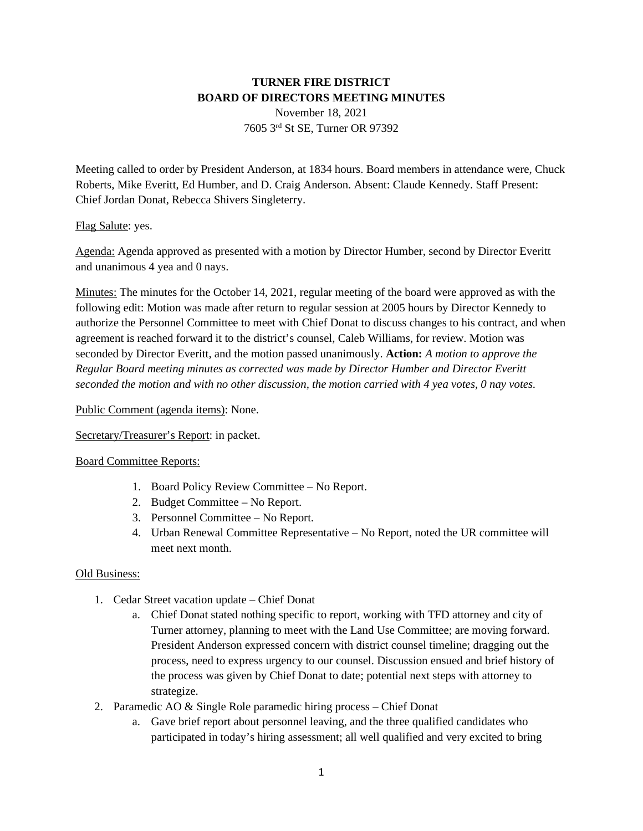# **TURNER FIRE DISTRICT BOARD OF DIRECTORS MEETING MINUTES**

November 18, 2021 7605 3rd St SE, Turner OR 97392

Meeting called to order by President Anderson, at 1834 hours. Board members in attendance were, Chuck Roberts, Mike Everitt, Ed Humber, and D. Craig Anderson. Absent: Claude Kennedy. Staff Present: Chief Jordan Donat, Rebecca Shivers Singleterry.

### Flag Salute: yes.

Agenda: Agenda approved as presented with a motion by Director Humber, second by Director Everitt and unanimous 4 yea and 0 nays.

Minutes: The minutes for the October 14, 2021, regular meeting of the board were approved as with the following edit: Motion was made after return to regular session at 2005 hours by Director Kennedy to authorize the Personnel Committee to meet with Chief Donat to discuss changes to his contract, and when agreement is reached forward it to the district's counsel, Caleb Williams, for review. Motion was seconded by Director Everitt, and the motion passed unanimously. **Action:** *A motion to approve the Regular Board meeting minutes as corrected was made by Director Humber and Director Everitt seconded the motion and with no other discussion, the motion carried with 4 yea votes, 0 nay votes.* 

### Public Comment (agenda items): None.

Secretary/Treasurer's Report: in packet.

#### Board Committee Reports:

- 1. Board Policy Review Committee No Report.
- 2. Budget Committee No Report.
- 3. Personnel Committee No Report.
- 4. Urban Renewal Committee Representative No Report, noted the UR committee will meet next month.

#### Old Business:

- 1. Cedar Street vacation update Chief Donat
	- a. Chief Donat stated nothing specific to report, working with TFD attorney and city of Turner attorney, planning to meet with the Land Use Committee; are moving forward. President Anderson expressed concern with district counsel timeline; dragging out the process, need to express urgency to our counsel. Discussion ensued and brief history of the process was given by Chief Donat to date; potential next steps with attorney to strategize.
- 2. Paramedic AO & Single Role paramedic hiring process Chief Donat
	- a. Gave brief report about personnel leaving, and the three qualified candidates who participated in today's hiring assessment; all well qualified and very excited to bring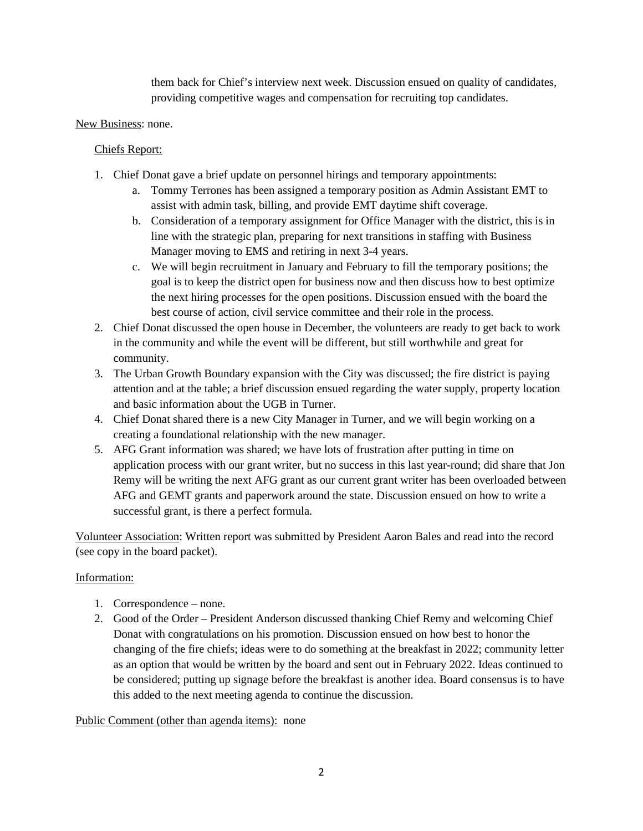them back for Chief's interview next week. Discussion ensued on quality of candidates, providing competitive wages and compensation for recruiting top candidates.

## New Business: none.

## Chiefs Report:

- 1. Chief Donat gave a brief update on personnel hirings and temporary appointments:
	- a. Tommy Terrones has been assigned a temporary position as Admin Assistant EMT to assist with admin task, billing, and provide EMT daytime shift coverage.
	- b. Consideration of a temporary assignment for Office Manager with the district, this is in line with the strategic plan, preparing for next transitions in staffing with Business Manager moving to EMS and retiring in next 3-4 years.
	- c. We will begin recruitment in January and February to fill the temporary positions; the goal is to keep the district open for business now and then discuss how to best optimize the next hiring processes for the open positions. Discussion ensued with the board the best course of action, civil service committee and their role in the process.
- 2. Chief Donat discussed the open house in December, the volunteers are ready to get back to work in the community and while the event will be different, but still worthwhile and great for community.
- 3. The Urban Growth Boundary expansion with the City was discussed; the fire district is paying attention and at the table; a brief discussion ensued regarding the water supply, property location and basic information about the UGB in Turner.
- 4. Chief Donat shared there is a new City Manager in Turner, and we will begin working on a creating a foundational relationship with the new manager.
- 5. AFG Grant information was shared; we have lots of frustration after putting in time on application process with our grant writer, but no success in this last year-round; did share that Jon Remy will be writing the next AFG grant as our current grant writer has been overloaded between AFG and GEMT grants and paperwork around the state. Discussion ensued on how to write a successful grant, is there a perfect formula.

Volunteer Association: Written report was submitted by President Aaron Bales and read into the record (see copy in the board packet).

# Information:

- 1. Correspondence none.
- 2. Good of the Order President Anderson discussed thanking Chief Remy and welcoming Chief Donat with congratulations on his promotion. Discussion ensued on how best to honor the changing of the fire chiefs; ideas were to do something at the breakfast in 2022; community letter as an option that would be written by the board and sent out in February 2022. Ideas continued to be considered; putting up signage before the breakfast is another idea. Board consensus is to have this added to the next meeting agenda to continue the discussion.

Public Comment (other than agenda items): none